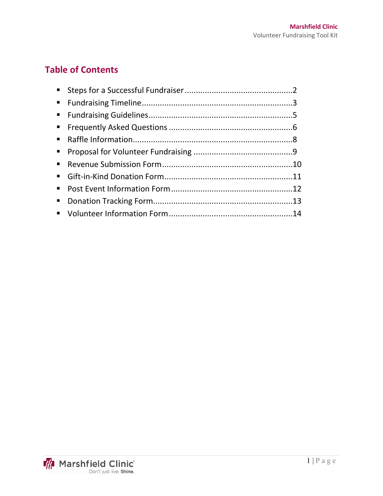# **Table of Contents**

| $\mathbf{m}$ |  |
|--------------|--|
|              |  |
|              |  |
|              |  |
|              |  |

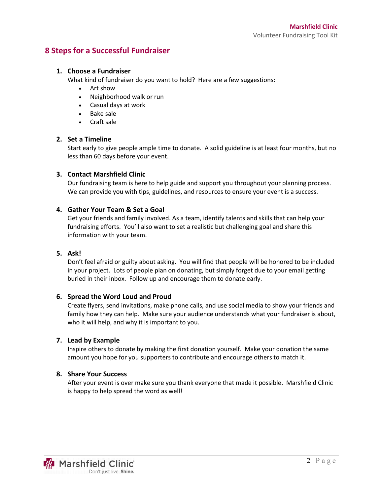### **8 Steps for a Successful Fundraiser**

#### **1. Choose a Fundraiser**

What kind of fundraiser do you want to hold? Here are a few suggestions:

- $\bullet$  Art show
- Neighborhood walk or run
- Casual days at work
- Bake sale
- Craft sale

#### **2. Set a Timeline**

Start early to give people ample time to donate. A solid guideline is at least four months, but no less than 60 days before your event.

#### **3. Contact Marshfield Clinic**

Our fundraising team is here to help guide and support you throughout your planning process. We can provide you with tips, guidelines, and resources to ensure your event is a success.

#### **4. Gather Your Team & Set a Goal**

Get your friends and family involved. As a team, identify talents and skills that can help your fundraising efforts. You'll also want to set a realistic but challenging goal and share this information with your team.

#### **5. Ask!**

Don't feel afraid or guilty about asking. You will find that people will be honored to be included in your project. Lots of people plan on donating, but simply forget due to your email getting buried in their inbox. Follow up and encourage them to donate early.

#### **6. Spread the Word Loud and Proud**

Create flyers, send invitations, make phone calls, and use social media to show your friends and family how they can help. Make sure your audience understands what your fundraiser is about, who it will help, and why it is important to you.

#### **7. Lead by Example**

Inspire others to donate by making the first donation yourself. Make your donation the same amount you hope for you supporters to contribute and encourage others to match it.

#### **8. Share Your Success**

After your event is over make sure you thank everyone that made it possible. Marshfield Clinic is happy to help spread the word as well!

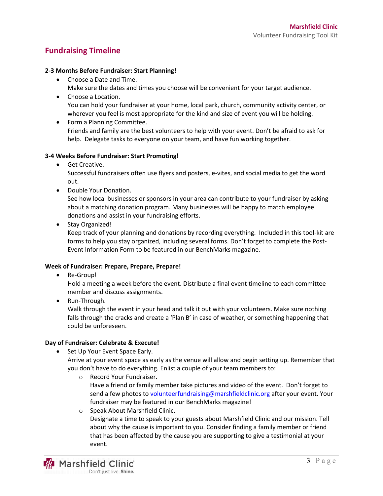## **Fundraising Timeline**

#### **2-3 Months Before Fundraiser: Start Planning!**

- Choose a Date and Time.
	- Make sure the dates and times you choose will be convenient for your target audience.
- Choose a Location. You can hold your fundraiser at your home, local park, church, community activity center, or wherever you feel is most appropriate for the kind and size of event you will be holding.
- Form a Planning Committee. Friends and family are the best volunteers to help with your event. Don't be afraid to ask for help. Delegate tasks to everyone on your team, and have fun working together.

#### **3-4 Weeks Before Fundraiser: Start Promoting!**

**•** Get Creative.

Successful fundraisers often use flyers and posters, e-vites, and social media to get the word out.

• Double Your Donation.

See how local businesses or sponsors in your area can contribute to your fundraiser by asking about a matching donation program. Many businesses will be happy to match employee donations and assist in your fundraising efforts.

• Stay Organized!

Keep track of your planning and donations by recording everything. Included in this tool-kit are forms to help you stay organized, including several forms. Don't forget to complete the Post-Event Information Form to be featured in our BenchMarks magazine.

#### **Week of Fundraiser: Prepare, Prepare, Prepare!**

• Re-Group!

Hold a meeting a week before the event. Distribute a final event timeline to each committee member and discuss assignments.

 $\bullet$  Run-Through.

Walk through the event in your head and talk it out with your volunteers. Make sure nothing falls through the cracks and create a 'Plan B' in case of weather, or something happening that could be unforeseen.

#### **Day of Fundraiser: Celebrate & Execute!**

• Set Up Your Event Space Early.

Arrive at your event space as early as the venue will allow and begin setting up. Remember that you don't have to do everything. Enlist a couple of your team members to:

- o Record Your Fundraiser. Have a friend or family member take pictures and video of the event. Don't forget to send a few photos to [volunteerfundraising@marshfieldclinic.org](mailto:volunteerfundraising@marshfieldclinic.org) after your event. Your fundraiser may be featured in our BenchMarks magazine!
- o Speak About Marshfield Clinic. Designate a time to speak to your guests about Marshfield Clinic and our mission. Tell about why the cause is important to you. Consider finding a family member or friend that has been affected by the cause you are supporting to give a testimonial at your event.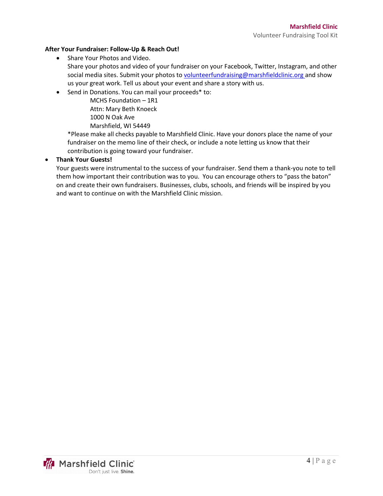#### **After Your Fundraiser: Follow-Up & Reach Out!**

- Share Your Photos and Video.
- Share your photos and video of your fundraiser on your Facebook, Twitter, Instagram, and other social media sites. Submit your photos to [volunteerfundraising@marshfieldclinic.org](mailto:volunteerfundraising@marshfieldclinic.org) and show us your great work. Tell us about your event and share a story with us.
- Send in Donations. You can mail your proceeds\* to:

MCHS Foundation – 1R1 Attn: Mary Beth Knoeck 1000 N Oak Ave Marshfield, WI 54449

\*Please make all checks payable to Marshfield Clinic. Have your donors place the name of your fundraiser on the memo line of their check, or include a note letting us know that their contribution is going toward your fundraiser.

#### x **Thank Your Guests!**

Your guests were instrumental to the success of your fundraiser. Send them a thank-you note to tell them how important their contribution was to you. You can encourage others to "pass the baton" on and create their own fundraisers. Businesses, clubs, schools, and friends will be inspired by you and want to continue on with the Marshfield Clinic mission.

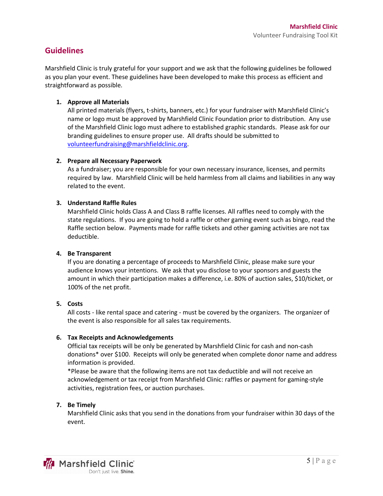### **Guidelines**

Marshfield Clinic is truly grateful for your support and we ask that the following guidelines be followed as you plan your event. These guidelines have been developed to make this process as efficient and straightforward as possible.

#### **1. Approve all Materials**

All printed materials (flyers, t-shirts, banners, etc.) for your fundraiser with Marshfield Clinic's name or logo must be approved by Marshfield Clinic Foundation prior to distribution. Any use of the Marshfield Clinic logo must adhere to established graphic standards. Please ask for our branding guidelines to ensure proper use. All drafts should be submitted to [volunteerfundraising@marshfieldclinic.org.](mailto:wolff.brooke@marshfieldclinic.org)

#### **2. Prepare all Necessary Paperwork**

As a fundraiser; you are responsible for your own necessary insurance, licenses, and permits required by law.Marshfield Clinic will be held harmless from all claims and liabilities in any way related to the event.

#### **3. Understand Raffle Rules**

Marshfield Clinic holds Class A and Class B raffle licenses. All raffles need to comply with the state regulations. If you are going to hold a raffle or other gaming event such as bingo, read the Raffle section below. Payments made for raffle tickets and other gaming activities are not tax deductible.

#### **4. Be Transparent**

If you are donating a percentage of proceeds to Marshfield Clinic, please make sure your audience knows your intentions. We ask that you disclose to your sponsors and guests the amount in which their participation makes a difference, i.e. 80% of auction sales, \$10/ticket, or 100% of the net profit.

#### **5. Costs**

All costs - like rental space and catering - must be covered by the organizers. The organizer of the event is also responsible for all sales tax requirements.

#### **6. Tax Receipts and Acknowledgements**

Official tax receipts will be only be generated by Marshfield Clinic for cash and non-cash donations\* over \$100. Receipts will only be generated when complete donor name and address information is provided.

\*Please be aware that the following items are not tax deductible and will not receive an acknowledgement or tax receipt from Marshfield Clinic: raffles or payment for gaming-style activities, registration fees, or auction purchases.

#### **7. Be Timely**

Marshfield Clinic asks that you send in the donations from your fundraiser within 30 days of the event.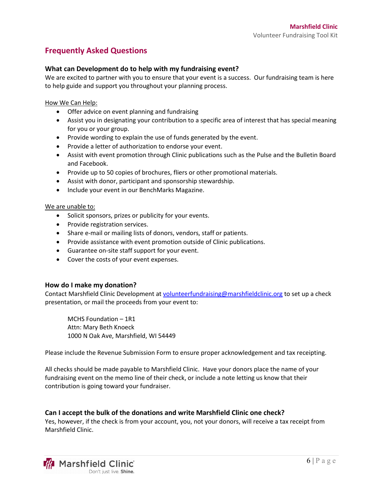## **Frequently Asked Questions**

#### **What can Development do to help with my fundraising event?**

We are excited to partner with you to ensure that your event is a success. Our fundraising team is here to help guide and support you throughout your planning process.

How We Can Help:

- Offer advice on event planning and fundraising
- Assist you in designating your contribution to a specific area of interest that has special meaning for you or your group.
- Provide wording to explain the use of funds generated by the event.
- Provide a letter of authorization to endorse your event.
- Assist with event promotion through Clinic publications such as the Pulse and the Bulletin Board and Facebook.
- Provide up to 50 copies of brochures, fliers or other promotional materials.
- Assist with donor, participant and sponsorship stewardship.
- Include your event in our BenchMarks Magazine.

We are unable to:

- Solicit sponsors, prizes or publicity for your events.
- Provide registration services.
- Share e-mail or mailing lists of donors, vendors, staff or patients.
- Provide assistance with event promotion outside of Clinic publications.
- Guarantee on-site staff support for your event.
- Cover the costs of your event expenses.

#### **How do I make my donation?**

Contact Marshfield Clinic Development a[t volunteerfundraising@marshfieldclinic.org](mailto:volunteerfundraising@marshfieldclinic.org) to set up a check presentation, or mail the proceeds from your event to:

MCHS Foundation – 1R1 Attn: Mary Beth Knoeck 1000 N Oak Ave, Marshfield, WI 54449

Please include the Revenue Submission Form to ensure proper acknowledgement and tax receipting.

All checks should be made payable to Marshfield Clinic. Have your donors place the name of your fundraising event on the memo line of their check, or include a note letting us know that their contribution is going toward your fundraiser.

#### **Can I accept the bulk of the donations and write Marshfield Clinic one check?**

Yes, however, if the check is from your account, you, not your donors, will receive a tax receipt from Marshfield Clinic.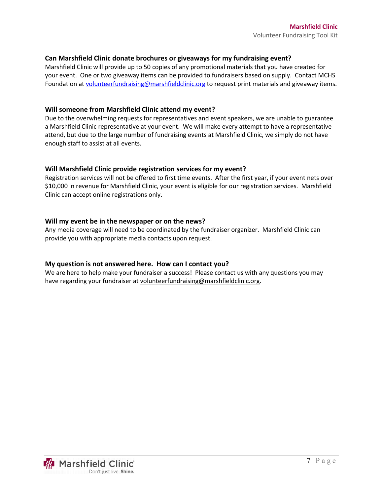#### **Can Marshfield Clinic donate brochures or giveaways for my fundraising event?**

Marshfield Clinic will provide up to 50 copies of any promotional materials that you have created for your event. One or two giveaway items can be provided to fundraisers based on supply. Contact MCHS Foundation at [volunteerfundraising@marshfieldclinic.org](mailto:volunteerfundraising@marshfieldclinic.org) to request print materials and giveaway items.

#### **Will someone from Marshfield Clinic attend my event?**

Due to the overwhelming requests for representatives and event speakers, we are unable to guarantee a Marshfield Clinic representative at your event. We will make every attempt to have a representative attend, but due to the large number of fundraising events at Marshfield Clinic, we simply do not have enough staff to assist at all events.

#### **Will Marshfield Clinic provide registration services for my event?**

Registration services will not be offered to first time events. After the first year, if your event nets over \$10,000 in revenue for Marshfield Clinic, your event is eligible for our registration services. Marshfield Clinic can accept online registrations only.

#### **Will my event be in the newspaper or on the news?**

Any media coverage will need to be coordinated by the fundraiser organizer. Marshfield Clinic can provide you with appropriate media contacts upon request.

#### **My question is not answered here. How can I contact you?**

We are here to help make your fundraiser a success! Please contact us with any questions you may have regarding your fundraiser at [volunteerfundraising@marshfieldclinic.org.](mailto:volunteerfundraising@marshfieldclinic.org)

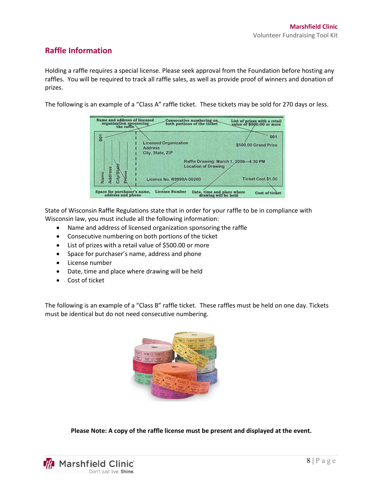### **Raffle Information**

Holding a raffle requires a special license. Please seek approval from the Foundation before hosting any raffles. You will be required to track all raffle sales, as well as provide proof of winners and donation of prizes.

The following is an example of a "Class A" raffle ticket. These tickets may be sold for 270 days or less.

| ă                     |                                                                     | 001                  |
|-----------------------|---------------------------------------------------------------------|----------------------|
|                       | <b>Licensed Organization</b><br><b>Address</b>                      | \$500.00 Grand Prize |
|                       | City, State, ZIP                                                    |                      |
| Address<br>City/Stake | Raffle Drawing: March 1, 2006-4:30 PM<br><b>Location of Drawing</b> |                      |
| Name                  | License No. R9999A-00200                                            | Ticket Cost \$1,00   |

State of Wisconsin Raffle Regulations state that in order for your raffle to be in compliance with Wisconsin law, you must include all the following information:

- Name and address of licensed organization sponsoring the raffle
- Consecutive numbering on both portions of the ticket
- List of prizes with a retail value of \$500.00 or more
- Space for purchaser's name, address and phone
- $\bullet$  License number
- Date, time and place where drawing will be held
- Cost of ticket

The following is an example of a "Class B" raffle ticket. These raffles must be held on one day. Tickets must be identical but do not need consecutive numbering.



**Please Note: A copy of the raffle license must be present and displayed at the event.**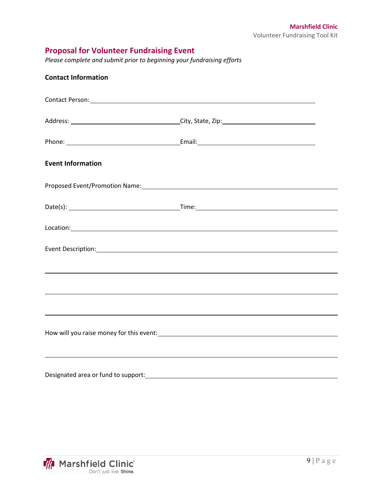## **Proposal for Volunteer Fundraising Event**

*Please complete and submit prior to beginning your fundraising efforts*

| <b>Contact Information</b> |                                                                                                                                                                                                                                        |  |  |
|----------------------------|----------------------------------------------------------------------------------------------------------------------------------------------------------------------------------------------------------------------------------------|--|--|
|                            |                                                                                                                                                                                                                                        |  |  |
|                            |                                                                                                                                                                                                                                        |  |  |
|                            |                                                                                                                                                                                                                                        |  |  |
| <b>Event Information</b>   |                                                                                                                                                                                                                                        |  |  |
|                            |                                                                                                                                                                                                                                        |  |  |
|                            |                                                                                                                                                                                                                                        |  |  |
|                            |                                                                                                                                                                                                                                        |  |  |
|                            |                                                                                                                                                                                                                                        |  |  |
|                            | ,我们也不会有什么。""我们的人,我们也不会有什么?""我们的人,我们也不会有什么?""我们的人,我们也不会有什么?""我们的人,我们也不会有什么?""我们的人                                                                                                                                                       |  |  |
|                            | ,我们也不会有什么。""我们的人,我们也不会有什么?""我们的人,我们也不会有什么?""我们的人,我们也不会有什么?""我们的人,我们也不会有什么?""我们的人                                                                                                                                                       |  |  |
|                            |                                                                                                                                                                                                                                        |  |  |
|                            | How will you raise money for this event:<br><u> Letting and the contract of the second of the second of the second of the second of the second of the second of the second of the second of the second of the second of the second</u> |  |  |
|                            |                                                                                                                                                                                                                                        |  |  |
|                            |                                                                                                                                                                                                                                        |  |  |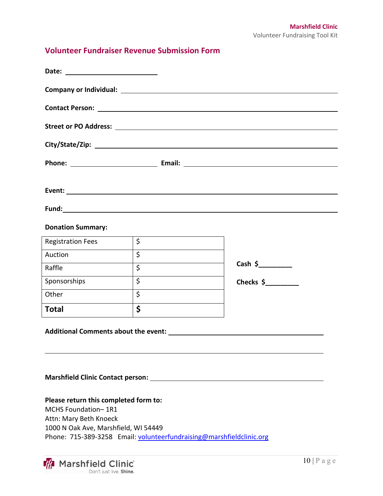## **Volunteer Fundraiser Revenue Submission Form**

|                                                                                                                                | Event: when the contract of the contract of the contract of the contract of the contract of the contract of the contract of the contract of the contract of the contract of the contract of the contract of the contract of th |                      |  |  |  |  |
|--------------------------------------------------------------------------------------------------------------------------------|--------------------------------------------------------------------------------------------------------------------------------------------------------------------------------------------------------------------------------|----------------------|--|--|--|--|
|                                                                                                                                |                                                                                                                                                                                                                                |                      |  |  |  |  |
| <b>Donation Summary:</b>                                                                                                       |                                                                                                                                                                                                                                |                      |  |  |  |  |
| <b>Registration Fees</b>                                                                                                       | $\zeta$                                                                                                                                                                                                                        |                      |  |  |  |  |
| Auction                                                                                                                        | $\zeta$                                                                                                                                                                                                                        |                      |  |  |  |  |
| Raffle                                                                                                                         | $\zeta$                                                                                                                                                                                                                        | Cash $\frac{1}{2}$   |  |  |  |  |
| Sponsorships                                                                                                                   | $\zeta$                                                                                                                                                                                                                        | Checks $\frac{1}{2}$ |  |  |  |  |
| Other                                                                                                                          | $\overline{\mathcal{S}}$                                                                                                                                                                                                       |                      |  |  |  |  |
| <b>Total</b>                                                                                                                   | \$                                                                                                                                                                                                                             |                      |  |  |  |  |
|                                                                                                                                |                                                                                                                                                                                                                                |                      |  |  |  |  |
|                                                                                                                                |                                                                                                                                                                                                                                |                      |  |  |  |  |
| Please return this completed form to:<br>MCHS Foundation-1R1<br>Attn: Mary Beth Knoeck<br>1000 N Oak Ave, Marshfield, WI 54449 | Phone: 715-389-3258 Email: volunteerfundraising@marshfieldclinic.org                                                                                                                                                           |                      |  |  |  |  |
|                                                                                                                                |                                                                                                                                                                                                                                |                      |  |  |  |  |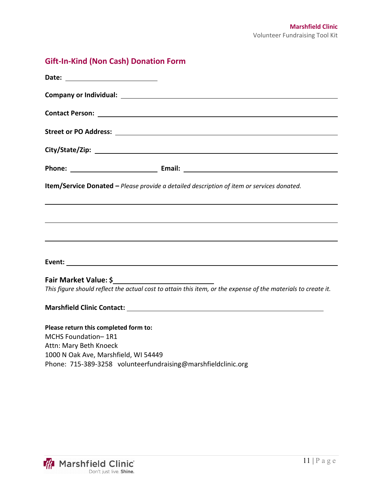# **Gift-In-Kind (Non Cash) Donation Form**

| Item/Service Donated - Please provide a detailed description of item or services donated.                     |  |
|---------------------------------------------------------------------------------------------------------------|--|
|                                                                                                               |  |
|                                                                                                               |  |
|                                                                                                               |  |
| Fair Market Value: \$                                                                                         |  |
| This figure should reflect the actual cost to attain this item, or the expense of the materials to create it. |  |
|                                                                                                               |  |
| Please return this completed form to:                                                                         |  |
| MCHS Foundation-1R1                                                                                           |  |
| Attn: Mary Beth Knoeck                                                                                        |  |
| 1000 N Oak Ave, Marshfield, WI 54449                                                                          |  |
| Phone: 715-389-3258 volunteerfundraising@marshfieldclinic.org                                                 |  |